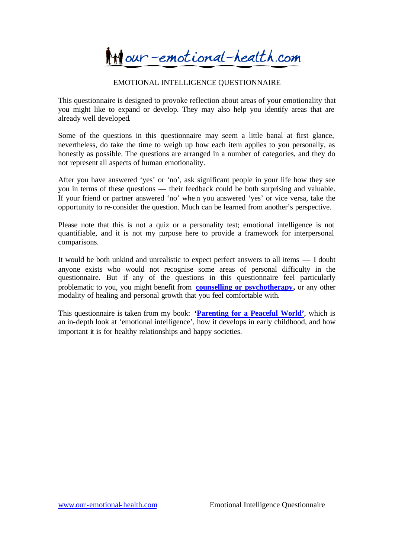**Milour-emotional-health.com** 

#### EMOTIONAL INTELLIGENCE QUESTIONNAIRE

This questionnaire is designed to provoke reflection about areas of your emotionality that you might like to expand or develop. They may also help you identify areas that are already well developed.

Some of the questions in this questionnaire may seem a little banal at first glance, nevertheless, do take the time to weigh up how each item applies to you personally, as honestly as possible. The questions are arranged in a number of categories, and they do not represent all aspects of human emotionality.

After you have answered 'yes' or 'no', ask significant people in your life how they see you in terms of these questions — their feedback could be both surprising and valuable. If your friend or partner answered 'no' whe n you answered 'yes' or vice versa, take the opportunity to re-consider the question. Much can be learned from another's perspective.

Please note that this is not a quiz or a personality test; emotional intelligence is not quantifiable, and it is not my purpose here to provide a framework for interpersonal comparisons.

It would be both unkind and unrealistic to expect perfect answers to all items — I doubt anyone exists who would not recognise some areas of personal difficulty in the questionnaire. But if any of the questions in this questionnaire feel particularly problematic to you, you might benefit from **counselling or psychotherapy,** or any other modality of healing and personal growth that you feel comfortable with.

This questionnaire is taken from my book: **'Parenting for a Peaceful World'**, which is an in-depth look at 'emotional intelligence', how it develops in early childhood, and how important it is for healthy relationships and happy societies.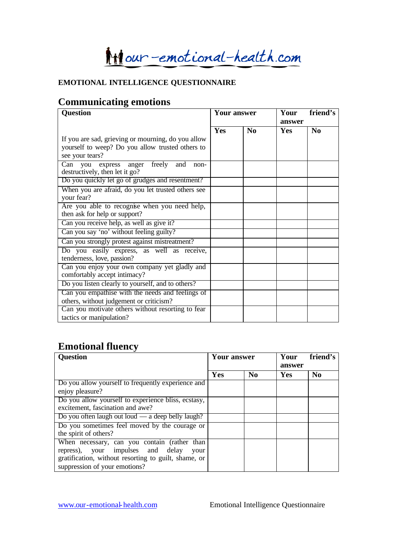**Mill**our-emotional-health.com

#### **EMOTIONAL INTELLIGENCE QUESTIONNAIRE**

## **Communicating emotions**

| <b>Question</b>                                    | <b>Your answer</b> |    | Your<br>friend's<br>answer |                |
|----------------------------------------------------|--------------------|----|----------------------------|----------------|
|                                                    | Yes                | No | <b>Yes</b>                 | N <sub>0</sub> |
| If you are sad, grieving or mourning, do you allow |                    |    |                            |                |
| yourself to weep? Do you allow trusted others to   |                    |    |                            |                |
| see your tears?                                    |                    |    |                            |                |
| Can you express anger freely and<br>non-           |                    |    |                            |                |
| destructively, then let it go?                     |                    |    |                            |                |
| Do you quickly let go of grudges and resentment?   |                    |    |                            |                |
| When you are afraid, do you let trusted others see |                    |    |                            |                |
| your fear?                                         |                    |    |                            |                |
| Are you able to recognise when you need help,      |                    |    |                            |                |
| then ask for help or support?                      |                    |    |                            |                |
| Can you receive help, as well as give it?          |                    |    |                            |                |
| Can you say 'no' without feeling guilty?           |                    |    |                            |                |
| Can you strongly protest against mistreatment?     |                    |    |                            |                |
| Do you easily express, as well as receive,         |                    |    |                            |                |
| tenderness, love, passion?                         |                    |    |                            |                |
| Can you enjoy your own company yet gladly and      |                    |    |                            |                |
| comfortably accept intimacy?                       |                    |    |                            |                |
| Do you listen clearly to yourself, and to others?  |                    |    |                            |                |
| Can you empathise with the needs and feelings of   |                    |    |                            |                |
| others, without judgement or criticism?            |                    |    |                            |                |
| Can you motivate others without resorting to fear  |                    |    |                            |                |
| tactics or manipulation?                           |                    |    |                            |                |

## **Emotional fluency**

| <b>Question</b>                                      | Your answer |          | friend's<br>Your<br>answer |                |
|------------------------------------------------------|-------------|----------|----------------------------|----------------|
|                                                      | Yes         | $\bf No$ | <b>Yes</b>                 | N <sub>0</sub> |
| Do you allow yourself to frequently experience and   |             |          |                            |                |
| enjoy pleasure?                                      |             |          |                            |                |
| Do you allow yourself to experience bliss, ecstasy,  |             |          |                            |                |
| excitement, fascination and awe?                     |             |          |                            |                |
| Do you often laugh out loud $-$ a deep belly laugh?  |             |          |                            |                |
| Do you sometimes feel moved by the courage or        |             |          |                            |                |
| the spirit of others?                                |             |          |                            |                |
| When necessary, can you contain (rather than         |             |          |                            |                |
| repress), your impulses and delay<br>your            |             |          |                            |                |
| gratification, without resorting to guilt, shame, or |             |          |                            |                |
| suppression of your emotions?                        |             |          |                            |                |